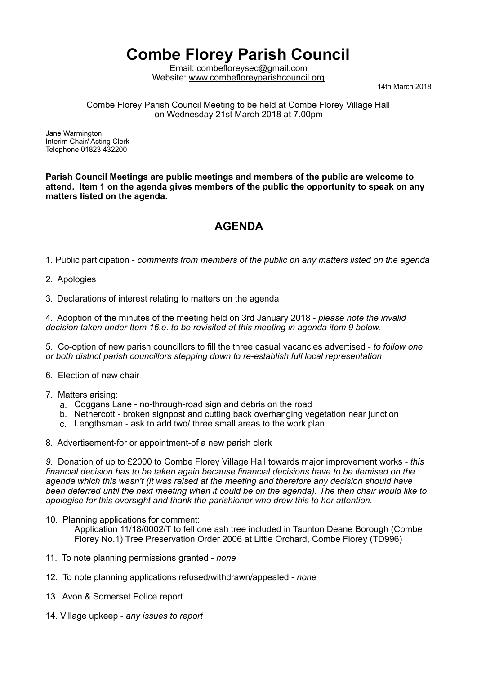## **Combe Florey Parish Council**

Email: [combefloreysec@gmail.com](mailto:combefloreysec@gmail.com)  Website: www.combefloreyparishcouncil.org<br>14th March 2018

Combe Florey Parish Council Meeting to be held at Combe Florey Village Hall on Wednesday 21st March 2018 at 7.00pm

Jane Warmington Interim Chair/ Acting Clerk Telephone 01823 432200

**Parish Council Meetings are public meetings and members of the public are welcome to attend. Item 1 on the agenda gives members of the public the opportunity to speak on any matters listed on the agenda.**

## **AGENDA**

1. Public participation - *comments from members of the public on any matters listed on the agenda*

2. Apologies

3. Declarations of interest relating to matters on the agenda

4. Adoption of the minutes of the meeting held on 3rd January 2018 - *please note the invalid decision taken under Item 16.e. to be revisited at this meeting in agenda item 9 below.*

5. Co-option of new parish councillors to fill the three casual vacancies advertised - *to follow one or both district parish councillors stepping down to re-establish full local representation* 

- 6. Election of new chair
- 7. Matters arising:
	- a. Coggans Lane no-through-road sign and debris on the road
	- b. Nethercott broken signpost and cutting back overhanging vegetation near junction
	- c. Lengthsman ask to add two/ three small areas to the work plan
- 8. Advertisement-for or appointment-of a new parish clerk

*9.* Donation of up to £2000 to Combe Florey Village Hall towards major improvement works - *this financial decision has to be taken again because financial decisions have to be itemised on the agenda which this wasn't (it was raised at the meeting and therefore any decision should have been deferred until the next meeting when it could be on the agenda). The then chair would like to apologise for this oversight and thank the parishioner who drew this to her attention.*

10. Planning applications for comment:

 Application 11/18/0002/T to fell one ash tree included in Taunton Deane Borough (Combe Florey No.1) Tree Preservation Order 2006 at Little Orchard, Combe Florey (TD996)

- 11. To note planning permissions granted *none*
- 12. To note planning applications refused/withdrawn/appealed *none*
- 13. Avon & Somerset Police report
- 14. Village upkeep *any issues to report*